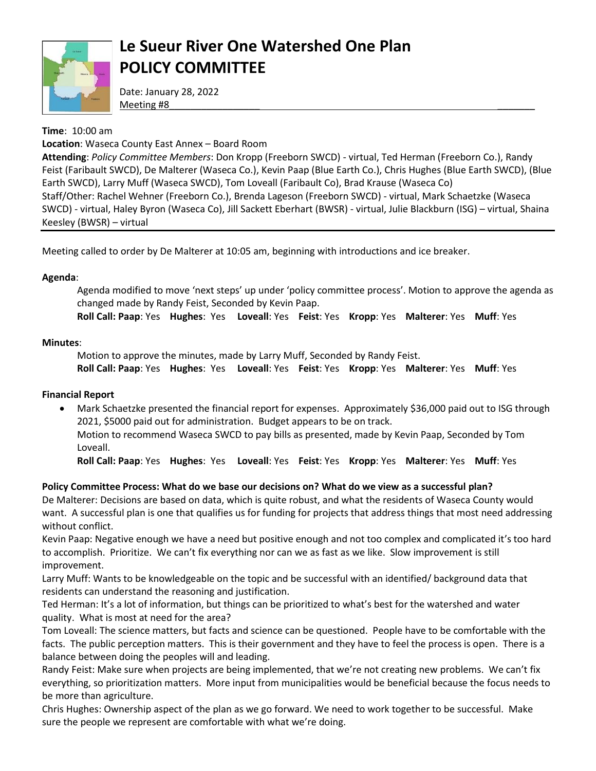

## **Le Sueur River One Watershed One Plan POLICY COMMITTEE**

Date: January 28, 2022 Meeting #8\_\_\_\_\_\_\_\_\_\_\_\_\_\_\_\_\_ \_\_\_\_\_\_\_

## **Time**: 10:00 am

**Location**: Waseca County East Annex – Board Room

**Attending**: *Policy Committee Members*: Don Kropp (Freeborn SWCD) - virtual, Ted Herman (Freeborn Co.), Randy Feist (Faribault SWCD), De Malterer (Waseca Co.), Kevin Paap (Blue Earth Co.), Chris Hughes (Blue Earth SWCD), (Blue Earth SWCD), Larry Muff (Waseca SWCD), Tom Loveall (Faribault Co), Brad Krause (Waseca Co) Staff/Other: Rachel Wehner (Freeborn Co.), Brenda Lageson (Freeborn SWCD) - virtual, Mark Schaetzke (Waseca SWCD) - virtual, Haley Byron (Waseca Co), Jill Sackett Eberhart (BWSR) - virtual, Julie Blackburn (ISG) – virtual, Shaina Keesley (BWSR) – virtual

Meeting called to order by De Malterer at 10:05 am, beginning with introductions and ice breaker.

## **Agenda**:

Agenda modified to move 'next steps' up under 'policy committee process'. Motion to approve the agenda as changed made by Randy Feist, Seconded by Kevin Paap.

**Roll Call: Paap**: Yes **Hughes**: Yes **Loveall**: Yes **Feist**: Yes **Kropp**: Yes **Malterer**: Yes **Muff**: Yes

## **Minutes**:

Motion to approve the minutes, made by Larry Muff, Seconded by Randy Feist.

**Roll Call: Paap**: Yes **Hughes**: Yes **Loveall**: Yes **Feist**: Yes **Kropp**: Yes **Malterer**: Yes **Muff**: Yes

## **Financial Report**

 Mark Schaetzke presented the financial report for expenses. Approximately \$36,000 paid out to ISG through 2021, \$5000 paid out for administration. Budget appears to be on track. Motion to recommend Waseca SWCD to pay bills as presented, made by Kevin Paap, Seconded by Tom Loveall.

**Roll Call: Paap**: Yes **Hughes**: Yes **Loveall**: Yes **Feist**: Yes **Kropp**: Yes **Malterer**: Yes **Muff**: Yes

## **Policy Committee Process: What do we base our decisions on? What do we view as a successful plan?**

De Malterer: Decisions are based on data, which is quite robust, and what the residents of Waseca County would want. A successful plan is one that qualifies us for funding for projects that address things that most need addressing without conflict.

Kevin Paap: Negative enough we have a need but positive enough and not too complex and complicated it's too hard to accomplish. Prioritize. We can't fix everything nor can we as fast as we like. Slow improvement is still improvement.

Larry Muff: Wants to be knowledgeable on the topic and be successful with an identified/ background data that residents can understand the reasoning and justification.

Ted Herman: It's a lot of information, but things can be prioritized to what's best for the watershed and water quality. What is most at need for the area?

Tom Loveall: The science matters, but facts and science can be questioned. People have to be comfortable with the facts. The public perception matters. This is their government and they have to feel the process is open. There is a balance between doing the peoples will and leading.

Randy Feist: Make sure when projects are being implemented, that we're not creating new problems. We can't fix everything, so prioritization matters. More input from municipalities would be beneficial because the focus needs to be more than agriculture.

Chris Hughes: Ownership aspect of the plan as we go forward. We need to work together to be successful. Make sure the people we represent are comfortable with what we're doing.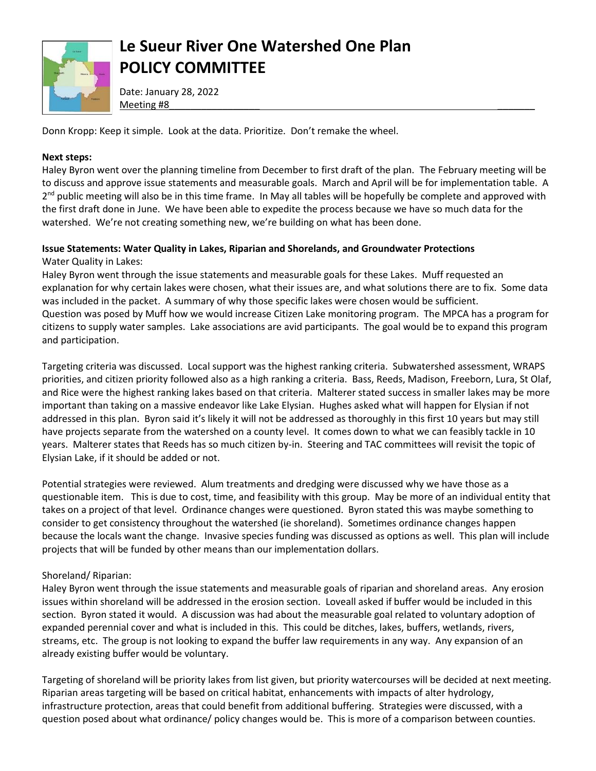

# **Le Sueur River One Watershed One Plan POLICY COMMITTEE**

Date: January 28, 2022 Meeting #8\_\_\_\_\_\_\_\_\_\_\_\_\_\_\_\_\_ \_\_\_\_\_\_\_

Donn Kropp: Keep it simple. Look at the data. Prioritize. Don't remake the wheel.

#### **Next steps:**

Haley Byron went over the planning timeline from December to first draft of the plan. The February meeting will be to discuss and approve issue statements and measurable goals. March and April will be for implementation table. A 2<sup>nd</sup> public meeting will also be in this time frame. In May all tables will be hopefully be complete and approved with the first draft done in June. We have been able to expedite the process because we have so much data for the watershed. We're not creating something new, we're building on what has been done.

#### **Issue Statements: Water Quality in Lakes, Riparian and Shorelands, and Groundwater Protections** Water Quality in Lakes:

Haley Byron went through the issue statements and measurable goals for these Lakes. Muff requested an explanation for why certain lakes were chosen, what their issues are, and what solutions there are to fix. Some data was included in the packet. A summary of why those specific lakes were chosen would be sufficient. Question was posed by Muff how we would increase Citizen Lake monitoring program. The MPCA has a program for citizens to supply water samples. Lake associations are avid participants. The goal would be to expand this program and participation.

Targeting criteria was discussed. Local support was the highest ranking criteria. Subwatershed assessment, WRAPS priorities, and citizen priority followed also as a high ranking a criteria. Bass, Reeds, Madison, Freeborn, Lura, St Olaf, and Rice were the highest ranking lakes based on that criteria. Malterer stated success in smaller lakes may be more important than taking on a massive endeavor like Lake Elysian. Hughes asked what will happen for Elysian if not addressed in this plan. Byron said it's likely it will not be addressed as thoroughly in this first 10 years but may still have projects separate from the watershed on a county level. It comes down to what we can feasibly tackle in 10 years. Malterer states that Reeds has so much citizen by-in. Steering and TAC committees will revisit the topic of Elysian Lake, if it should be added or not.

Potential strategies were reviewed. Alum treatments and dredging were discussed why we have those as a questionable item. This is due to cost, time, and feasibility with this group. May be more of an individual entity that takes on a project of that level. Ordinance changes were questioned. Byron stated this was maybe something to consider to get consistency throughout the watershed (ie shoreland). Sometimes ordinance changes happen because the locals want the change. Invasive species funding was discussed as options as well. This plan will include projects that will be funded by other means than our implementation dollars.

## Shoreland/ Riparian:

Haley Byron went through the issue statements and measurable goals of riparian and shoreland areas. Any erosion issues within shoreland will be addressed in the erosion section. Loveall asked if buffer would be included in this section. Byron stated it would. A discussion was had about the measurable goal related to voluntary adoption of expanded perennial cover and what is included in this. This could be ditches, lakes, buffers, wetlands, rivers, streams, etc. The group is not looking to expand the buffer law requirements in any way. Any expansion of an already existing buffer would be voluntary.

Targeting of shoreland will be priority lakes from list given, but priority watercourses will be decided at next meeting. Riparian areas targeting will be based on critical habitat, enhancements with impacts of alter hydrology, infrastructure protection, areas that could benefit from additional buffering. Strategies were discussed, with a question posed about what ordinance/ policy changes would be. This is more of a comparison between counties.